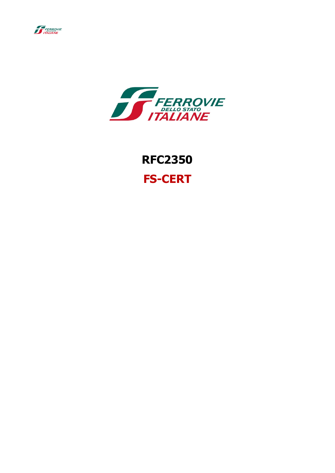



**RFC2350**

**FS-CERT**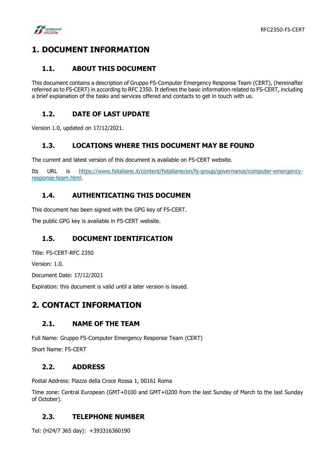

# **1. DOCUMENT INFORMATION**

## **1.1. ABOUT THIS DOCUMENT**

This document contains a description of Gruppo FS-Computer Emergency Response Team (CERT), (hereinafter referred as to FS-CERT) in according to RFC 2350. It defines the basic information related to FS-CERT, including a brief explanation of the tasks and services offered and contacts to get in touch with us.

## **1.2. DATE OF LAST UPDATE**

Version 1.0, updated on 17/12/2021.

## **1.3. LOCATIONS WHERE THIS DOCUMENT MAY BE FOUND**

The current and latest version of this document is available on FS-CERT website.

Its URL is [https://www.fsitaliane.it/content/fsitaliane/en/fs-group/governance/computer-emergency](https://www.fsitaliane.it/content/fsitaliane/en/fs-group/governance/computer-emergency-response-team.html)[response-team.html.](https://www.fsitaliane.it/content/fsitaliane/en/fs-group/governance/computer-emergency-response-team.html)

## **1.4. AUTHENTICATING THIS DOCUMEN**

This document has been signed with the GPG key of FS-CERT.

The public GPG key is available in FS-CERT website.

## **1.5. DOCUMENT IDENTIFICATION**

Title: FS-CERT-RFC 2350

Version: 1.0.

Document Date: 17/12/2021

Expiration: this document is valid until a later version is issued.

# **2. CONTACT INFORMATION**

### **2.1. NAME OF THE TEAM**

Full Name: Gruppo FS-Computer Emergency Response Team (CERT)

Short Name: FS-CERT

### **2.2. ADDRESS**

Postal Address: Piazza della Croce Rossa 1, 00161 Roma

Time zone: Central European (GMT+0100 and GMT+0200 from the last Sunday of March to the last Sunday of October).

## **2.3. TELEPHONE NUMBER**

Tel: (H24/7 365 day): +393316360190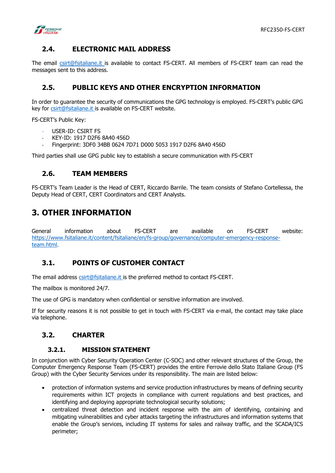

## **2.4. ELECTRONIC MAIL ADDRESS**

The email [csirt@fsitaliane.it](mailto:csirt@fsitaliane.it) is available to contact FS-CERT. All members of FS-CERT team can read the messages sent to this address.

## **2.5. PUBLIC KEYS AND OTHER ENCRYPTION INFORMATION**

In order to guarantee the security of communications the GPG technology is employed. FS-CERT's public GPG key for [csirt@fsitaliane.it](mailto:csirt@fsitaliane.it) is available on FS-CERT website.

FS-CERT's Public Key:

- USER-ID: CSIRT FS
- KEY-ID: 1917 D2F6 8A40 456D
- Fingerprint: 3DF0 34BB 0624 7D71 D000 5053 1917 D2F6 8A40 456D

Third parties shall use GPG public key to establish a secure communication with FS-CERT

#### **2.6. TEAM MEMBERS**

FS-CERT's Team Leader is the Head of CERT, Riccardo Barrile. The team consists of Stefano Cortellessa, the Deputy Head of CERT, CERT Coordinators and CERT Analysts.

## **3. OTHER INFORMATION**

General information about FS-CERT are available on FS-CERT website: [https://www.fsitaliane.it/content/fsitaliane/en/fs-group/governance/computer-emergency-response](https://www.fsitaliane.it/content/fsitaliane/en/fs-group/governance/computer-emergency-response-team.html)[team.html](https://www.fsitaliane.it/content/fsitaliane/en/fs-group/governance/computer-emergency-response-team.html).

## **3.1. POINTS OF CUSTOMER CONTACT**

The email address [csirt@fsitaliane.it](mailto:csirt@fsitaliane.it) is the preferred method to contact FS-CERT.

The mailbox is monitored 24/7.

The use of GPG is mandatory when confidential or sensitive information are involved.

If for security reasons it is not possible to get in touch with FS-CERT via e-mail, the contact may take place via telephone.

### **3.2. CHARTER**

#### **3.2.1. MISSION STATEMENT**

In conjunction with Cyber Security Operation Center (C-SOC) and other relevant structures of the Group, the Computer Emergency Response Team (FS-CERT) provides the entire Ferrovie dello Stato Italiane Group (FS Group) with the Cyber Security Services under its responsibility. The main are listed below:

- protection of information systems and service production infrastructures by means of defining security requirements within ICT projects in compliance with current regulations and best practices, and identifying and deploying appropriate technological security solutions;
- centralized threat detection and incident response with the aim of identifying, containing and mitigating vulnerabilities and cyber attacks targeting the infrastructures and information systems that enable the Group's services, including IT systems for sales and railway traffic, and the SCADA/ICS perimeter;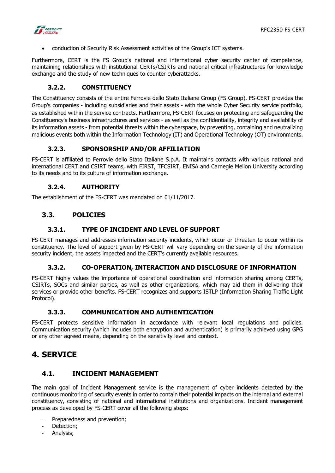

• conduction of Security Risk Assessment activities of the Group's ICT systems.

Furthermore, CERT is the FS Group's national and international cyber security center of competence, maintaining relationships with institutional CERTs/CSIRTs and national critical infrastructures for knowledge exchange and the study of new techniques to counter cyberattacks.

### **3.2.2. CONSTITUENCY**

The Constituency consists of the entire Ferrovie dello Stato Italiane Group (FS Group). FS-CERT provides the Group's companies - including subsidiaries and their assets - with the whole Cyber Security service portfolio, as established within the service contracts. Furthermore, FS-CERT focuses on protecting and safeguarding the Constituency's business infrastructures and services - as well as the confidentiality, integrity and availability of its information assets - from potential threats within the cyberspace, by preventing, containing and neutralizing malicious events both within the Information Technology (IT) and Operational Technology (OT) environments.

#### **3.2.3. SPONSORSHIP AND/OR AFFILIATION**

FS-CERT is affiliated to Ferrovie dello Stato Italiane S.p.A. It maintains contacts with various national and international CERT and CSIRT teams, with FIRST, TFCSIRT, ENISA and Carnegie Mellon University according to its needs and to its culture of information exchange.

#### **3.2.4. AUTHORITY**

The establishment of the FS-CERT was mandated on 01/11/2017.

## **3.3. POLICIES**

#### **3.3.1. TYPE OF INCIDENT AND LEVEL OF SUPPORT**

FS-CERT manages and addresses information security incidents, which occur or threaten to occur within its constituency. The level of support given by FS-CERT will vary depending on the severity of the information security incident, the assets impacted and the CERT's currently available resources.

#### **3.3.2. CO-OPERATION, INTERACTION AND DISCLOSURE OF INFORMATION**

FS-CERT highly values the importance of operational coordination and information sharing among CERTs, CSIRTs, SOCs and similar parties, as well as other organizations, which may aid them in delivering their services or provide other benefits. FS-CERT recognizes and supports ISTLP (Information Sharing Traffic Light Protocol).

#### **3.3.3. COMMUNICATION AND AUTHENTICATION**

FS-CERT protects sensitive information in accordance with relevant local regulations and policies. Communication security (which includes both encryption and authentication) is primarily achieved using GPG or any other agreed means, depending on the sensitivity level and context.

# **4. SERVICE**

### **4.1. INCIDENT MANAGEMENT**

The main goal of Incident Management service is the management of cyber incidents detected by the continuous monitoring of security events in order to contain their potential impacts on the internal and external constituency, consisting of national and international institutions and organizations. Incident management process as developed by FS-CERT cover all the following steps:

- Preparedness and prevention;
- Detection:
- Analysis;